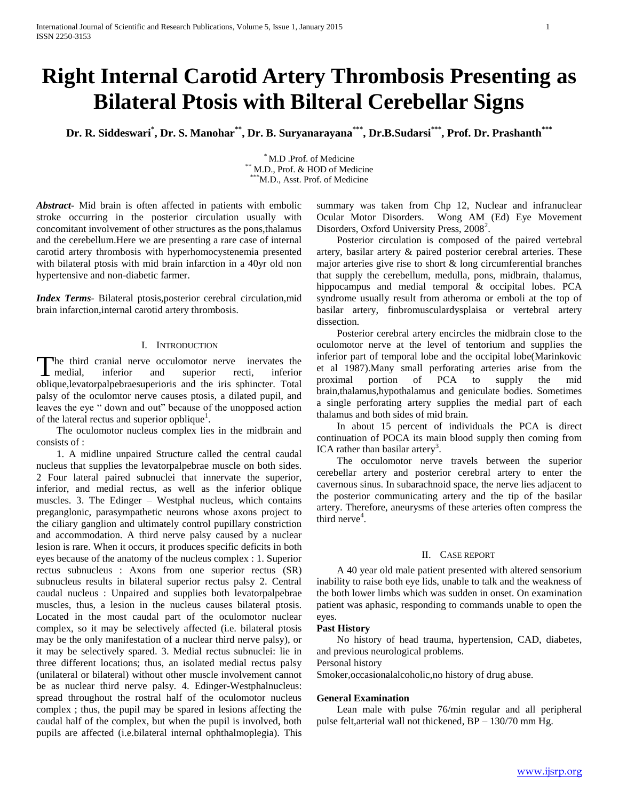# **Right Internal Carotid Artery Thrombosis Presenting as Bilateral Ptosis with Bilteral Cerebellar Signs**

**Dr. R. Siddeswari\* , Dr. S. Manohar\*\*, Dr. B. Suryanarayana\*\*\*, Dr.B.Sudarsi\*\*\*, Prof. Dr. Prashanth\*\*\***

\* M.D .Prof. of Medicine \*\* M.D., Prof. & HOD of Medicine  $^*$ M.D., Asst. Prof. of Medicine

*Abstract***-** Mid brain is often affected in patients with embolic stroke occurring in the posterior circulation usually with concomitant involvement of other structures as the pons,thalamus and the cerebellum.Here we are presenting a rare case of internal carotid artery thrombosis with hyperhomocystenemia presented with bilateral ptosis with mid brain infarction in a 40yr old non hypertensive and non-diabetic farmer.

*Index Terms*- Bilateral ptosis,posterior cerebral circulation,mid brain infarction,internal carotid artery thrombosis.

# I. INTRODUCTION

The third cranial nerve occulomotor nerve inervates the The third cranial nerve occulomotor nerve inervates the medial, inferior and superior recti, inferior oblique,levatorpalpebraesuperioris and the iris sphincter. Total palsy of the oculomtor nerve causes ptosis, a dilated pupil, and leaves the eye " down and out" because of the unopposed action of the lateral rectus and superior opblique<sup>1</sup>.

 The oculomotor nucleus complex lies in the midbrain and consists of :

 1. A midline unpaired Structure called the central caudal nucleus that supplies the levatorpalpebrae muscle on both sides. 2 Four lateral paired subnuclei that innervate the superior, inferior, and medial rectus, as well as the inferior oblique muscles. 3. The Edinger – Westphal nucleus, which contains preganglonic, parasympathetic neurons whose axons project to the ciliary ganglion and ultimately control pupillary constriction and accommodation. A third nerve palsy caused by a nuclear lesion is rare. When it occurs, it produces specific deficits in both eyes because of the anatomy of the nucleus complex : 1. Superior rectus subnucleus : Axons from one superior rectus (SR) subnucleus results in bilateral superior rectus palsy 2. Central caudal nucleus : Unpaired and supplies both levatorpalpebrae muscles, thus, a lesion in the nucleus causes bilateral ptosis. Located in the most caudal part of the oculomotor nuclear complex, so it may be selectively affected (i.e. bilateral ptosis may be the only manifestation of a nuclear third nerve palsy), or it may be selectively spared. 3. Medial rectus subnuclei: lie in three different locations; thus, an isolated medial rectus palsy (unilateral or bilateral) without other muscle involvement cannot be as nuclear third nerve palsy. 4. Edinger-Westphalnucleus: spread throughout the rostral half of the oculomotor nucleus complex ; thus, the pupil may be spared in lesions affecting the caudal half of the complex, but when the pupil is involved, both pupils are affected (i.e.bilateral internal ophthalmoplegia). This

summary was taken from Chp 12, Nuclear and infranuclear Ocular Motor Disorders. Wong AM (Ed) Eye Movement Disorders, Oxford University Press, 2008<sup>2</sup>.

 Posterior circulation is composed of the paired vertebral artery, basilar artery & paired posterior cerebral arteries. These major arteries give rise to short & long circumferential branches that supply the cerebellum, medulla, pons, midbrain, thalamus, hippocampus and medial temporal & occipital lobes. PCA syndrome usually result from atheroma or emboli at the top of basilar artery, finbromusculardysplaisa or vertebral artery dissection.

 Posterior cerebral artery encircles the midbrain close to the oculomotor nerve at the level of tentorium and supplies the inferior part of temporal lobe and the occipital lobe(Marinkovic et al 1987).Many small perforating arteries arise from the proximal portion of PCA to supply the mid brain,thalamus,hypothalamus and geniculate bodies. Sometimes a single perforating artery supplies the medial part of each thalamus and both sides of mid brain.

 In about 15 percent of individuals the PCA is direct continuation of POCA its main blood supply then coming from ICA rather than basilar artery<sup>3</sup>.

 The occulomotor nerve travels between the superior cerebellar artery and posterior cerebral artery to enter the cavernous sinus. In subarachnoid space, the nerve lies adjacent to the posterior communicating artery and the tip of the basilar artery. Therefore, aneurysms of these arteries often compress the third nerve<sup>4</sup>.

### II. CASE REPORT

 A 40 year old male patient presented with altered sensorium inability to raise both eye lids, unable to talk and the weakness of the both lower limbs which was sudden in onset. On examination patient was aphasic, responding to commands unable to open the eyes.

### **Past History**

 No history of head trauma, hypertension, CAD, diabetes, and previous neurological problems.

Personal history

Smoker,occasionalalcoholic,no history of drug abuse.

## **General Examination**

 Lean male with pulse 76/min regular and all peripheral pulse felt,arterial wall not thickened, BP – 130/70 mm Hg.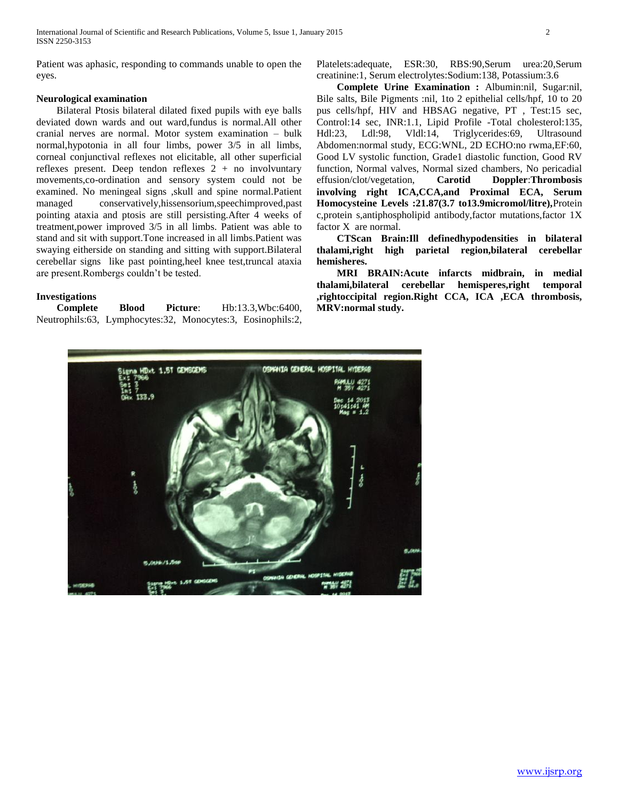Patient was aphasic, responding to commands unable to open the eyes.

# **Neurological examination**

 Bilateral Ptosis bilateral dilated fixed pupils with eye balls deviated down wards and out ward,fundus is normal.All other cranial nerves are normal. Motor system examination – bulk normal,hypotonia in all four limbs, power 3/5 in all limbs, corneal conjunctival reflexes not elicitable, all other superficial reflexes present. Deep tendon reflexes 2 + no involvuntary movements,co-ordination and sensory system could not be examined. No meningeal signs ,skull and spine normal.Patient managed conservatively,hissensorium,speechimproved,past pointing ataxia and ptosis are still persisting.After 4 weeks of treatment,power improved 3/5 in all limbs. Patient was able to stand and sit with support.Tone increased in all limbs.Patient was swaying eitherside on standing and sitting with support.Bilateral cerebellar signs like past pointing,heel knee test,truncal ataxia are present.Rombergs couldn't be tested.

# **Investigations**

 **Complete Blood Picture**: Hb:13.3,Wbc:6400, Neutrophils:63, Lymphocytes:32, Monocytes:3, Eosinophils:2, Platelets:adequate, ESR:30, RBS:90,Serum urea:20,Serum creatinine:1, Serum electrolytes:Sodium:138, Potassium:3.6

 **Complete Urine Examination :** Albumin:nil, Sugar:nil, Bile salts, Bile Pigments :nil, 1to 2 epithelial cells/hpf, 10 to 20 pus cells/hpf, HIV and HBSAG negative, PT , Test:15 sec, Control:14 sec, INR:1.1, Lipid Profile -Total cholesterol:135, Hdl:23, Ldl:98, Vldl:14, Triglycerides:69, Ultrasound Abdomen:normal study, ECG:WNL, 2D ECHO:no rwma,EF:60, Good LV systolic function, Grade1 diastolic function, Good RV function, Normal valves, Normal sized chambers, No pericadial effusion/clot/vegetation, **Carotid Doppler**:**Thrombosis involving right ICA,CCA,and Proximal ECA, Serum Homocysteine Levels :21.87(3.7 to13.9micromol/litre),**Protein c,protein s,antiphospholipid antibody,factor mutations,factor 1X factor X are normal.

 **CTScan Brain:Ill definedhypodensities in bilateral thalami,right high parietal region,bilateral cerebellar hemisheres.**

 **MRI BRAIN:Acute infarcts midbrain, in medial thalami,bilateral cerebellar hemisperes,right temporal ,rightoccipital region.Right CCA, ICA ,ECA thrombosis, MRV:normal study.**

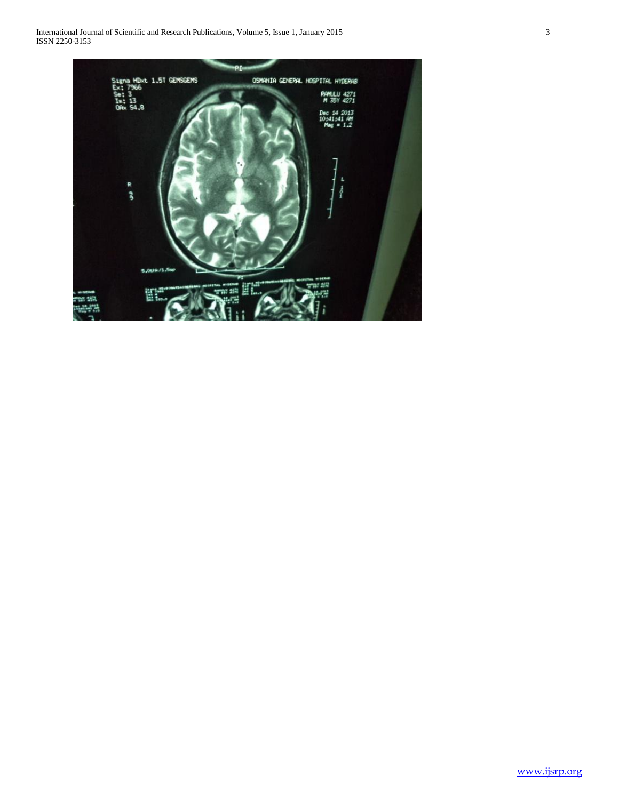International Journal of Scientific and Research Publications, Volume 5, Issue 1, January 2015 3 ISSN 2250-3153

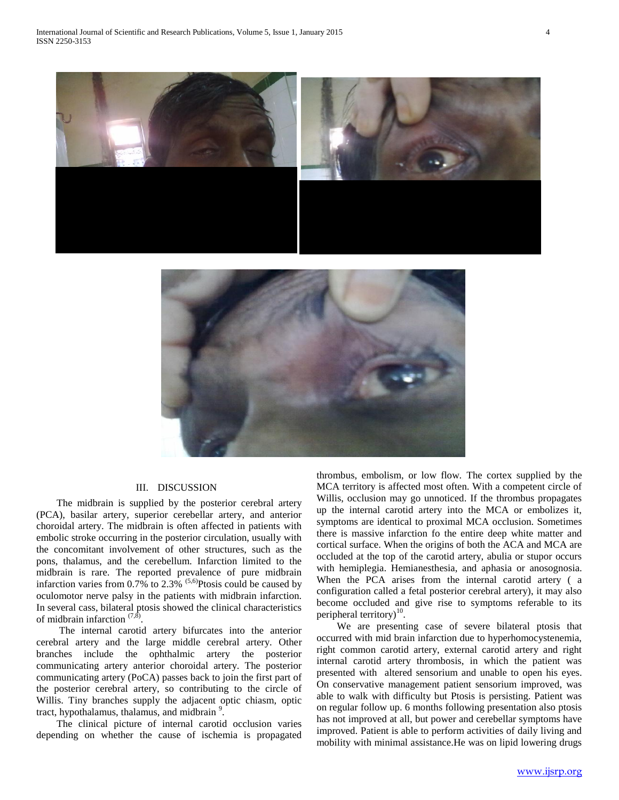



## III. DISCUSSION

 The midbrain is supplied by the posterior cerebral artery (PCA), basilar artery, superior cerebellar artery, and anterior choroidal artery. The midbrain is often affected in patients with embolic stroke occurring in the posterior circulation, usually with the concomitant involvement of other structures, such as the pons, thalamus, and the cerebellum. Infarction limited to the midbrain is rare. The reported prevalence of pure midbrain infarction varies from  $0.7\%$  to  $2.3\%$  <sup> $(5,6)$ </sup>Ptosis could be caused by oculomotor nerve palsy in the patients with midbrain infarction. In several cass, bilateral ptosis showed the clinical characteristics of midbrain infarction  $(7,8)$ .

 The internal carotid artery bifurcates into the anterior cerebral artery and the large middle cerebral artery. Other branches include the ophthalmic artery the posterior communicating artery anterior choroidal artery. The posterior communicating artery (PoCA) passes back to join the first part of the posterior cerebral artery, so contributing to the circle of Willis. Tiny branches supply the adjacent optic chiasm, optic tract, hypothalamus, thalamus, and midbrain<sup>9</sup>.

 The clinical picture of internal carotid occlusion varies depending on whether the cause of ischemia is propagated thrombus, embolism, or low flow. The cortex supplied by the MCA territory is affected most often. With a competent circle of Willis, occlusion may go unnoticed. If the thrombus propagates up the internal carotid artery into the MCA or embolizes it, symptoms are identical to proximal MCA occlusion. Sometimes there is massive infarction fo the entire deep white matter and cortical surface. When the origins of both the ACA and MCA are occluded at the top of the carotid artery, abulia or stupor occurs with hemiplegia. Hemianesthesia, and aphasia or anosognosia. When the PCA arises from the internal carotid artery ( a configuration called a fetal posterior cerebral artery), it may also become occluded and give rise to symptoms referable to its peripheral territory) $10$ .

 We are presenting case of severe bilateral ptosis that occurred with mid brain infarction due to hyperhomocystenemia, right common carotid artery, external carotid artery and right internal carotid artery thrombosis, in which the patient was presented with altered sensorium and unable to open his eyes. On conservative management patient sensorium improved, was able to walk with difficulty but Ptosis is persisting. Patient was on regular follow up. 6 months following presentation also ptosis has not improved at all, but power and cerebellar symptoms have improved. Patient is able to perform activities of daily living and mobility with minimal assistance.He was on lipid lowering drugs